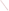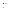## **Consumer Factsheet on: ACRYLAMIDE**

### [List of Contaminants](http://www.epa.gov/safewater/hfacts.html)

 As part of the Drinking Water and Health pages, this fact sheet is part of a larger publication: **National Primary Drinking Water Regulations** 

 States Environmental Protection Agency (EPA). This is a factsheet about a chemical that may be found in some public or private drinking water supplies. It may cause health problems if found in amounts greater than the health standard set by the United

#### **What is Acrylamide and how is it used?**

 Acrylamide is an organic solid of white, odorless, flake-like crystals. The greatest use of acrylamide is as a coagulant aid in drinking water treatment. Other uses of include: to improve production from oil wells; in making organic chemicals and dyes; in the sizing of paper and textiles; in ore processing; in the construction of dam foundations and tunnels.

 The list of trade names given below may help you find out whether you are using this chemical at home or work.

#### **Trade Names and Synonyms:**

2-Propenamide Acrylic amide Ethylenecarboxamide Amresco Acryl-40 Acrylagel Optimum

#### **Why is Acrylamide being Regulated?**

 based solely on possible health risks and exposure, are called Maximum Contaminant Level Goals. In 1974, Congress passed the Safe Drinking Water Act. This law requires EPA to determine safe levels of chemicals in drinking water which do or may cause health problems. These non-enforceable levels,

The MCLG for acrylamide has been set at zero because EPA believes this level of protection would not cause any of the potential health problems described below.

 There are currently no acceptable means of detecting acrylamide in drinking water. In this case, EPA is acrylamide is used in drinking water treatment processes, it is being controlled simply by limiting its use requiring water suppliers to use a special treatment technique to control its amount in water. Since for this purpose.

These drinking water standards and the regulations for ensuring these standards are met, are called National Primary Drinking Water Regulations. All public water supplies must abide by these regulations.

#### **What are the Health Effects?**

Short-term: EPA has found acrylamide to potentially cause the following health effects when people are exposed to it at levels above the MCL for relatively short periods of time: damage to the nervous system, weakness and incoordination in the legs.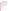Long-term: Acrylamide has the potential to cause the following effects from a lifetime exposure at levels above the MCL: damage to the nervous system, paralysis; cancer.

#### **How much Acrylamide is produced and released to the environment?**

 Demand for acrylamide in the early 1990s was about 120 million pounds. The main source of concern for acrylamide in drinking water is from its use as a clarifier during water treatment. When added to water, it coagulate and remains in the water as a contaminant. Improvements in the production and use of coagulates and traps suspended solids for easier removal. However, some acrylamide does not acrylamide have made it possible to control this contamination to acceptable levels.

From 1987 to 1993, according to EPA's Toxic Chemical Release Inventory, acrylamide releases to land and water totalled over 40,000 lbs. These releases were primarily from plastics industries. The largest releases occurred in Michigan.

#### **What happens to Acrylamide when it is released to the environment?**

 days in soil and water. Its has little tendency to accumulate in fish. Acrylamide does not bind to soil and will move into soil rapidly, but it is degraded by microbes within a few

#### **How will Acrylamide be Detected in and Removed from My Drinking Water?**

 The regulation for acrylamide became effective in 1992. EPA requires your water supplier to show that when acrylamide is added to water, the amount of uncoagulated acrylamide is less than 0.5 ppb.

#### **How will I know if Acrylamide is in my drinking water?**

 required to prevent serious risks to public health. If the treatment technique for acrylamide fails, the system must notify the public via newspapers, radio, TV and other means. Additional actions, such as providing alternative drinking water supplies, may be

#### **Drinking Water Standards:**

Mclg: zero

Mcl: Treatment Technique

# **Acrylamide Releases to Water and Land, 1987 to 1993 (in pounds): Water Land**

|                           | Water  | Land  |
|---------------------------|--------|-------|
| <b>TOTALS</b> (in pounds) | 36,287 | 5,818 |
| Top Five States*          |        |       |
| МI                        | 12,200 | 0     |
| <b>WA</b>                 | 8,000  | 0     |
| СT                        | 5,690  | 0     |
| LA                        | 4,367  | 500   |
| <b>PA</b>                 | 2,505  | 20    |
| AL                        | 1,262  | 1,258 |
| <b>Major Industries*</b>  |        |       |
| Plastics and resins       | 19,002 | 2.177 |
| Pulp mills                | 8,000  | 0     |
| Indust. organics          | 3,107  | 2,200 |
| Indust. inorganics        | 2.510  | 500   |

\* Water/Land totals only include facilities with releases greater 100 lbs.